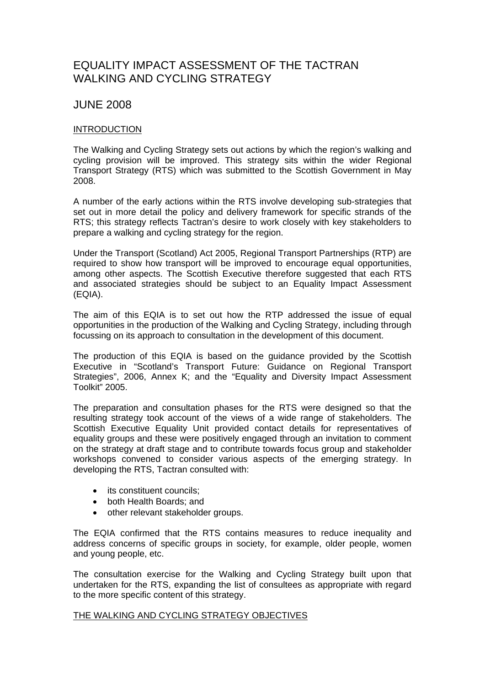# EQUALITY IMPACT ASSESSMENT OF THE TACTRAN WALKING AND CYCLING STRATEGY

# JUNE 2008

# INTRODUCTION

The Walking and Cycling Strategy sets out actions by which the region's walking and cycling provision will be improved. This strategy sits within the wider Regional Transport Strategy (RTS) which was submitted to the Scottish Government in May 2008.

A number of the early actions within the RTS involve developing sub-strategies that set out in more detail the policy and delivery framework for specific strands of the RTS; this strategy reflects Tactran's desire to work closely with key stakeholders to prepare a walking and cycling strategy for the region.

Under the Transport (Scotland) Act 2005, Regional Transport Partnerships (RTP) are required to show how transport will be improved to encourage equal opportunities, among other aspects. The Scottish Executive therefore suggested that each RTS and associated strategies should be subject to an Equality Impact Assessment (EQIA).

The aim of this EQIA is to set out how the RTP addressed the issue of equal opportunities in the production of the Walking and Cycling Strategy, including through focussing on its approach to consultation in the development of this document.

The production of this EQIA is based on the guidance provided by the Scottish Executive in "Scotland's Transport Future: Guidance on Regional Transport Strategies", 2006, Annex K; and the "Equality and Diversity Impact Assessment Toolkit" 2005.

The preparation and consultation phases for the RTS were designed so that the resulting strategy took account of the views of a wide range of stakeholders. The Scottish Executive Equality Unit provided contact details for representatives of equality groups and these were positively engaged through an invitation to comment on the strategy at draft stage and to contribute towards focus group and stakeholder workshops convened to consider various aspects of the emerging strategy. In developing the RTS, Tactran consulted with:

- its constituent councils;
- both Health Boards; and
- other relevant stakeholder groups.

The EQIA confirmed that the RTS contains measures to reduce inequality and address concerns of specific groups in society, for example, older people, women and young people, etc.

The consultation exercise for the Walking and Cycling Strategy built upon that undertaken for the RTS, expanding the list of consultees as appropriate with regard to the more specific content of this strategy.

#### THE WALKING AND CYCLING STRATEGY OBJECTIVES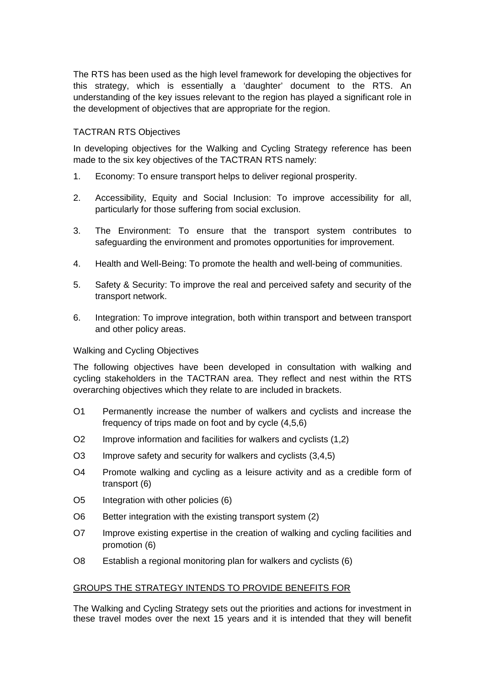The RTS has been used as the high level framework for developing the objectives for this strategy, which is essentially a 'daughter' document to the RTS. An understanding of the key issues relevant to the region has played a significant role in the development of objectives that are appropriate for the region.

# TACTRAN RTS Objectives

In developing objectives for the Walking and Cycling Strategy reference has been made to the six key objectives of the TACTRAN RTS namely:

- 1. Economy: To ensure transport helps to deliver regional prosperity.
- 2. Accessibility, Equity and Social Inclusion: To improve accessibility for all, particularly for those suffering from social exclusion.
- 3. The Environment: To ensure that the transport system contributes to safeguarding the environment and promotes opportunities for improvement.
- 4. Health and Well-Being: To promote the health and well-being of communities.
- 5. Safety & Security: To improve the real and perceived safety and security of the transport network.
- 6. Integration: To improve integration, both within transport and between transport and other policy areas.

#### Walking and Cycling Objectives

The following objectives have been developed in consultation with walking and cycling stakeholders in the TACTRAN area. They reflect and nest within the RTS overarching objectives which they relate to are included in brackets.

- O1 Permanently increase the number of walkers and cyclists and increase the frequency of trips made on foot and by cycle (4,5,6)
- O2 Improve information and facilities for walkers and cyclists (1,2)
- O3 Improve safety and security for walkers and cyclists (3,4,5)
- O4 Promote walking and cycling as a leisure activity and as a credible form of transport (6)
- O5 Integration with other policies (6)
- O6 Better integration with the existing transport system (2)
- O7 Improve existing expertise in the creation of walking and cycling facilities and promotion (6)
- O8 Establish a regional monitoring plan for walkers and cyclists (6)

#### GROUPS THE STRATEGY INTENDS TO PROVIDE BENEFITS FOR

The Walking and Cycling Strategy sets out the priorities and actions for investment in these travel modes over the next 15 years and it is intended that they will benefit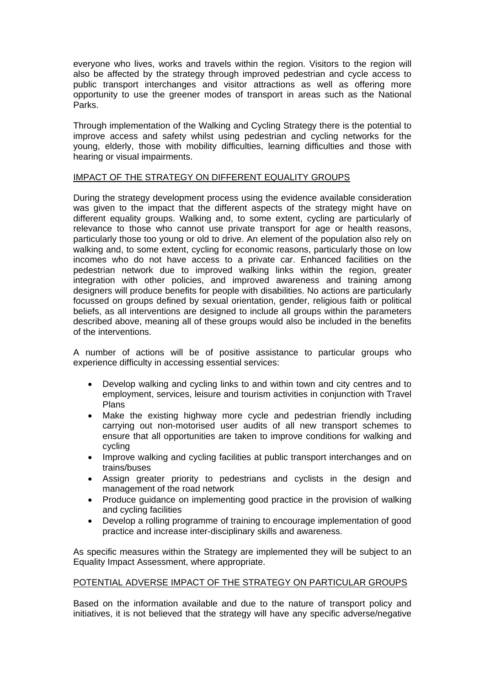everyone who lives, works and travels within the region. Visitors to the region will also be affected by the strategy through improved pedestrian and cycle access to public transport interchanges and visitor attractions as well as offering more opportunity to use the greener modes of transport in areas such as the National Parks.

Through implementation of the Walking and Cycling Strategy there is the potential to improve access and safety whilst using pedestrian and cycling networks for the young, elderly, those with mobility difficulties, learning difficulties and those with hearing or visual impairments.

# IMPACT OF THE STRATEGY ON DIFFERENT EQUALITY GROUPS

During the strategy development process using the evidence available consideration was given to the impact that the different aspects of the strategy might have on different equality groups. Walking and, to some extent, cycling are particularly of relevance to those who cannot use private transport for age or health reasons, particularly those too young or old to drive. An element of the population also rely on walking and, to some extent, cycling for economic reasons, particularly those on low incomes who do not have access to a private car. Enhanced facilities on the pedestrian network due to improved walking links within the region, greater integration with other policies, and improved awareness and training among designers will produce benefits for people with disabilities. No actions are particularly focussed on groups defined by sexual orientation, gender, religious faith or political beliefs, as all interventions are designed to include all groups within the parameters described above, meaning all of these groups would also be included in the benefits of the interventions.

A number of actions will be of positive assistance to particular groups who experience difficulty in accessing essential services:

- Develop walking and cycling links to and within town and city centres and to employment, services, leisure and tourism activities in conjunction with Travel Plans
- Make the existing highway more cycle and pedestrian friendly including carrying out non-motorised user audits of all new transport schemes to ensure that all opportunities are taken to improve conditions for walking and cycling
- Improve walking and cycling facilities at public transport interchanges and on trains/buses
- Assign greater priority to pedestrians and cyclists in the design and management of the road network
- Produce guidance on implementing good practice in the provision of walking and cycling facilities
- Develop a rolling programme of training to encourage implementation of good practice and increase inter-disciplinary skills and awareness.

As specific measures within the Strategy are implemented they will be subject to an Equality Impact Assessment, where appropriate.

# POTENTIAL ADVERSE IMPACT OF THE STRATEGY ON PARTICULAR GROUPS

Based on the information available and due to the nature of transport policy and initiatives, it is not believed that the strategy will have any specific adverse/negative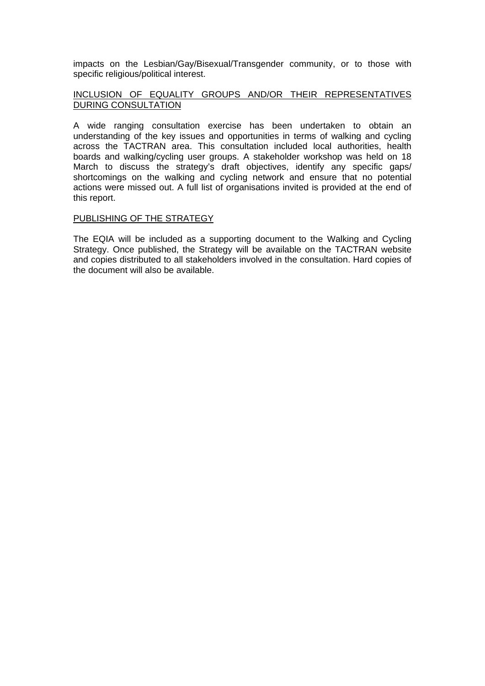impacts on the Lesbian/Gay/Bisexual/Transgender community, or to those with specific religious/political interest.

# INCLUSION OF EQUALITY GROUPS AND/OR THEIR REPRESENTATIVES DURING CONSULTATION

A wide ranging consultation exercise has been undertaken to obtain an understanding of the key issues and opportunities in terms of walking and cycling across the TACTRAN area. This consultation included local authorities, health boards and walking/cycling user groups. A stakeholder workshop was held on 18 March to discuss the strategy's draft objectives, identify any specific gaps/ shortcomings on the walking and cycling network and ensure that no potential actions were missed out. A full list of organisations invited is provided at the end of this report.

# PUBLISHING OF THE STRATEGY

The EQIA will be included as a supporting document to the Walking and Cycling Strategy. Once published, the Strategy will be available on the TACTRAN website and copies distributed to all stakeholders involved in the consultation. Hard copies of the document will also be available.